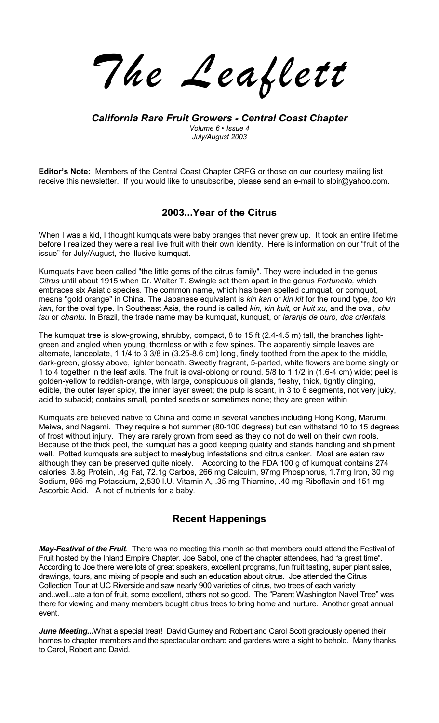*The Leaflett*

*California Rare Fruit Growers - Central Coast Chapter Volume 6 ï Issue 4 July/August 2003* 

**Editorís Note:** Members of the Central Coast Chapter CRFG or those on our courtesy mailing list receive this newsletter. If you would like to unsubscribe, please send an e-mail to slpir@yahoo.com.

## **2003...Year of the Citrus**

When I was a kid, I thought kumquats were baby oranges that never grew up. It took an entire lifetime before I realized they were a real live fruit with their own identity. Here is information on our "fruit of the issue" for July/August, the illusive kumquat.

Kumquats have been called "the little gems of the citrus family". They were included in the genus *Citrus* until about 1915 when Dr. Walter T. Swingle set them apart in the genus *Fortunella,* which embraces six Asiatic species. The common name, which has been spelled cumquat, or comquot, means "gold orange" in China. The Japanese equivalent is *kin kan* or *kin kit* for the round type, *too kin kan,* for the oval type. In Southeast Asia, the round is called *kin, kin kuit,* or *kuit xu,* and the oval, *chu tsu* or *chantu.* In Brazil, the trade name may be kumquat, kunquat, or *laranja de ouro, dos orientais.*

The kumquat tree is slow-growing, shrubby, compact, 8 to 15 ft (2.4-4.5 m) tall, the branches lightgreen and angled when young, thornless or with a few spines. The apparently simple leaves are alternate, lanceolate, 1 1/4 to 3 3/8 in (3.25-8.6 cm) long, finely toothed from the apex to the middle, dark-green, glossy above, lighter beneath. Sweetly fragrant, 5-parted, white flowers are borne singly or 1 to 4 together in the leaf axils. The fruit is oval-oblong or round, 5/8 to 1 1/2 in (1.6-4 cm) wide; peel is golden-yellow to reddish-orange, with large, conspicuous oil glands, fleshy, thick, tightly clinging, edible, the outer layer spicy, the inner layer sweet; the pulp is scant, in 3 to 6 segments, not very juicy, acid to subacid; contains small, pointed seeds or sometimes none; they are green within

Kumquats are believed native to China and come in several varieties including Hong Kong, Marumi, Meiwa, and Nagami. They require a hot summer (80-100 degrees) but can withstand 10 to 15 degrees of frost without injury. They are rarely grown from seed as they do not do well on their own roots. Because of the thick peel, the kumquat has a good keeping quality and stands handling and shipment well. Potted kumquats are subject to mealybug infestations and citrus canker. Most are eaten raw although they can be preserved quite nicely. According to the FDA 100 g of kumquat contains 274 calories, 3.8g Protein, .4g Fat, 72.1g Carbos, 266 mg Calcuim, 97mg Phosphorus, 1.7mg Iron, 30 mg Sodium, 995 mg Potassium, 2,530 I.U. Vitamin A, .35 mg Thiamine, .40 mg Riboflavin and 151 mg Ascorbic Acid. A not of nutrients for a baby.

## **Recent Happenings**

*May-Festival of the Fruit*. There was no meeting this month so that members could attend the Festival of Fruit hosted by the Inland Empire Chapter. Joe Sabol, one of the chapter attendees, had "a great time". According to Joe there were lots of great speakers, excellent programs, fun fruit tasting, super plant sales, drawings, tours, and mixing of people and such an education about citrus. Joe attended the Citrus Collection Tour at UC Riverside and saw nearly 900 varieties of citrus, two trees of each variety and..well...ate a ton of fruit, some excellent, others not so good. The "Parent Washington Navel Tree" was there for viewing and many members bought citrus trees to bring home and nurture. Another great annual event.

*June Meeting...*What a special treat! David Gurney and Robert and Carol Scott graciously opened their homes to chapter members and the spectacular orchard and gardens were a sight to behold. Many thanks to Carol, Robert and David.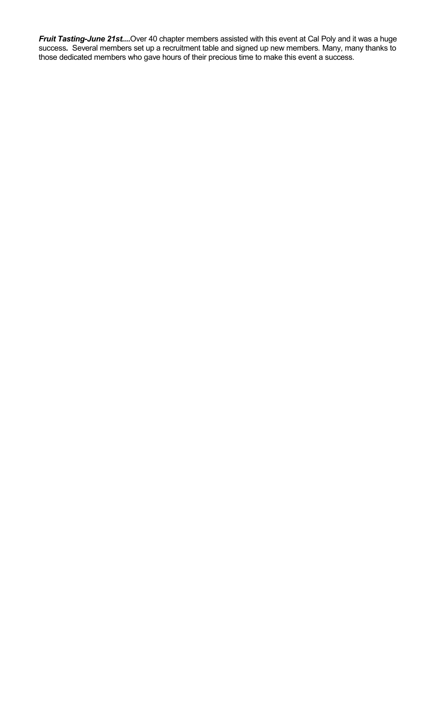*Fruit Tasting-June 21st....*Over 40 chapter members assisted with this event at Cal Poly and it was a huge success*.* Several members set up a recruitment table and signed up new members*.* Many, many thanks to those dedicated members who gave hours of their precious time to make this event a success.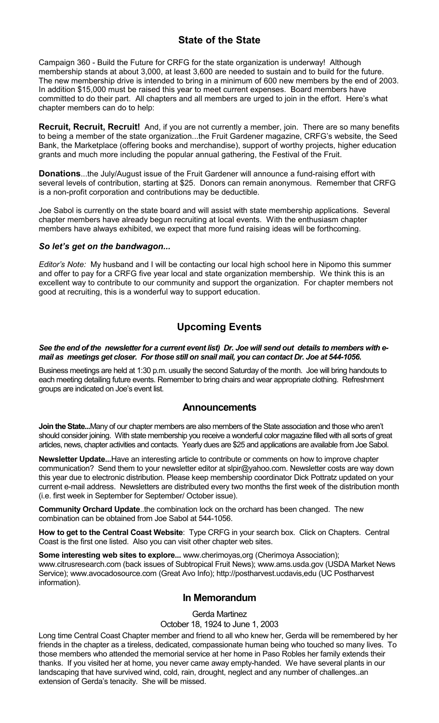# **State of the State**

Campaign 360 - Build the Future for CRFG for the state organization is underway! Although membership stands at about 3,000, at least 3,600 are needed to sustain and to build for the future. The new membership drive is intended to bring in a minimum of 600 new members by the end of 2003. In addition \$15,000 must be raised this year to meet current expenses. Board members have committed to do their part. All chapters and all members are urged to join in the effort. Here's what chapter members can do to help:

**Recruit, Recruit, Recruit!** And, if you are not currently a member, join. There are so many benefits to being a member of the state organization...the Fruit Gardener magazine, CRFG's website, the Seed Bank, the Marketplace (offering books and merchandise), support of worthy projects, higher education grants and much more including the popular annual gathering, the Festival of the Fruit.

**Donations**...the July/August issue of the Fruit Gardener will announce a fund-raising effort with several levels of contribution, starting at \$25. Donors can remain anonymous. Remember that CRFG is a non-profit corporation and contributions may be deductible.

Joe Sabol is currently on the state board and will assist with state membership applications. Several chapter members have already begun recruiting at local events. With the enthusiasm chapter members have always exhibited, we expect that more fund raising ideas will be forthcoming.

### *So letís get on the bandwagon...*

*Editorís Note:* My husband and I will be contacting our local high school here in Nipomo this summer and offer to pay for a CRFG five year local and state organization membership. We think this is an excellent way to contribute to our community and support the organization. For chapter members not good at recruiting, this is a wonderful way to support education.

# **Upcoming Events**

#### *See the end of the newsletter for a current event list) Dr. Joe will send out details to members with email as meetings get closer. For those still on snail mail, you can contact Dr. Joe at 544-1056.*

Business meetings are held at 1:30 p.m. usually the second Saturday of the month. Joe will bring handouts to each meeting detailing future events. Remember to bring chairs and wear appropriate clothing. Refreshment groups are indicated on Joe's event list.

### **Announcements**

**Join the State...**Many of our chapter members are also members of the State association and those who arenít should consider joining. With state membership you receive a wonderful color magazine filled with all sorts of great articles, news, chapter activities and contacts. Yearly dues are \$25 and applications are available from Joe Sabol.

**Newsletter Update...**Have an interesting article to contribute or comments on how to improve chapter communication? Send them to your newsletter editor at slpir@yahoo.com. Newsletter costs are way down this year due to electronic distribution. Please keep membership coordinator Dick Pottratz updated on your current e-mail address. Newsletters are distributed every two months the first week of the distribution month (i.e. first week in September for September/ October issue).

**Community Orchard Update**..the combination lock on the orchard has been changed. The new combination can be obtained from Joe Sabol at 544-1056.

**How to get to the Central Coast Website**: Type CRFG in your search box. Click on Chapters. Central Coast is the first one listed. Also you can visit other chapter web sites.

**Some interesting web sites to explore...** www.cherimoyas,org (Cherimoya Association); www.citrusresearch.com (back issues of Subtropical Fruit News); www.ams.usda.gov (USDA Market News Service); www.avocadosource.com (Great Avo Info); http://postharvest.ucdavis,edu (UC Postharvest information).

### **In Memorandum**

Gerda Martinez

October 18, 1924 to June 1, 2003

Long time Central Coast Chapter member and friend to all who knew her, Gerda will be remembered by her friends in the chapter as a tireless, dedicated, compassionate human being who touched so many lives. To those members who attended the memorial service at her home in Paso Robles her family extends their thanks. If you visited her at home, you never came away empty-handed. We have several plants in our landscaping that have survived wind, cold, rain, drought, neglect and any number of challenges..an extension of Gerda's tenacity. She will be missed.